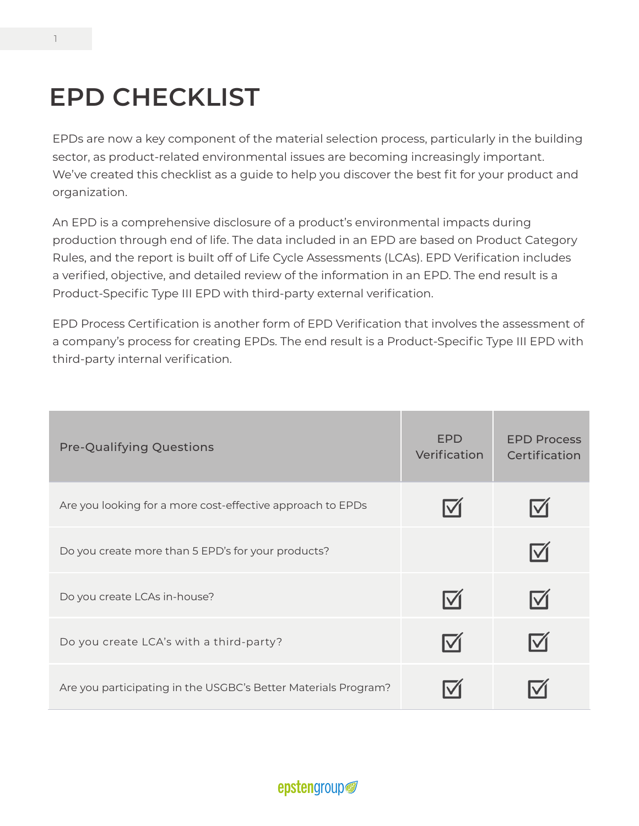## **EPD CHECKLIST**

EPDs are now a key component of the material selection process, particularly in the building sector, as product-related environmental issues are becoming increasingly important. We've created this checklist as a guide to help you discover the best fit for your product and organization.

An EPD is a comprehensive disclosure of a product's environmental impacts during production through end of life. The data included in an EPD are based on Product Category Rules, and the report is built off of Life Cycle Assessments (LCAs). EPD Verification includes a verified, objective, and detailed review of the information in an EPD. The end result is a Product-Specific Type III EPD with third-party external verification.

EPD Process Certification is another form of EPD Verification that involves the assessment of a company's process for creating EPDs. The end result is a Product-Specific Type III EPD with third-party internal verification.

| <b>Pre-Qualifying Questions</b>                                | <b>EPD</b><br>Verification | <b>EPD Process</b><br>Certification |
|----------------------------------------------------------------|----------------------------|-------------------------------------|
| Are you looking for a more cost-effective approach to EPDs     | $\overline{\mathsf{M}}$    |                                     |
| Do you create more than 5 EPD's for your products?             |                            |                                     |
| Do you create LCAs in-house?                                   | $\boxdot$                  |                                     |
| Do you create LCA's with a third-party?                        | $\nabla$                   |                                     |
| Are you participating in the USGBC's Better Materials Program? |                            |                                     |

#### epstengroup<sup>®</sup>